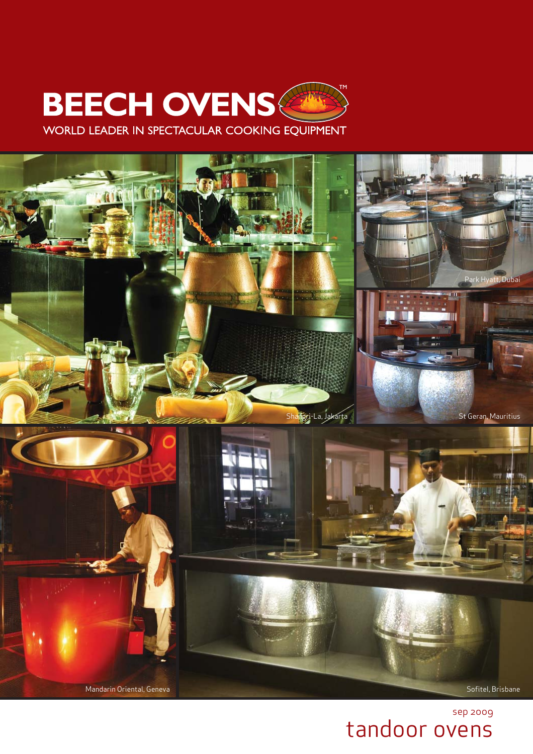

WORLD LEADER IN SPECTACULAR COOKING EQUIPMENT



sep 2009 tandoor ovens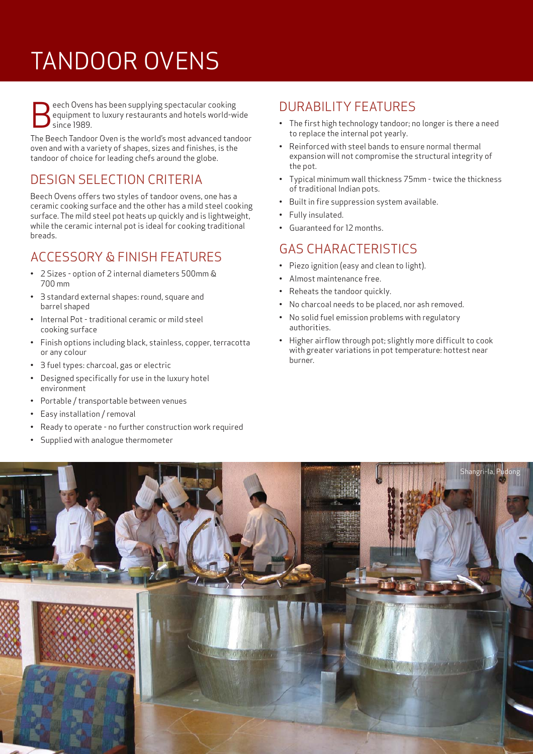# TANDOOR OVENS

Beech Ovens has been supplying spectacular cooking<br>equipment to luxury restaurants and hotels world-w<br>since 1989. equipment to luxury restaurants and hotels world-wide since 1989.

The Beech Tandoor Oven is the world's most advanced tandoor oven and with a variety of shapes, sizes and finishes, is the tandoor of choice for leading chefs around the globe.

### DESIGN SELECTION CRITERIA

Beech Ovens offers two styles of tandoor ovens, one has a ceramic cooking surface and the other has a mild steel cooking surface. The mild steel pot heats up quickly and is lightweight, while the ceramic internal pot is ideal for cooking traditional breads.

## ACCESSORY & FINISH FEATURES

- 2 Sizes option of 2 internal diameters 500mm & 700 mm
- 3 standard external shapes: round, square and barrel shaped
- Internal Pot traditional ceramic or mild steel cooking surface
- Finish options including black, stainless, copper, terracotta or any colour
- 3 fuel types: charcoal, gas or electric
- Designed specifically for use in the luxury hotel environment
- Portable / transportable between venues
- Easy installation / removal
- Ready to operate no further construction work required
- Supplied with analogue thermometer

### DURABILITY FEATURES

- The first high technology tandoor; no longer is there a need to replace the internal pot yearly.
- Reinforced with steel bands to ensure normal thermal expansion will not compromise the structural integrity of the pot.
- Typical minimum wall thickness 75mm twice the thickness of traditional Indian pots.
- Built in fire suppression system available.
- Fully insulated.
- Guaranteed for 12 months.

#### GAS CHARACTERISTICS

- Piezo ignition (easy and clean to light).
- Almost maintenance free.
- Reheats the tandoor quickly.
- No charcoal needs to be placed, nor ash removed.
- No solid fuel emission problems with regulatory authorities.
- Higher airflow through pot; slightly more difficult to cook with greater variations in pot temperature: hottest near burner.

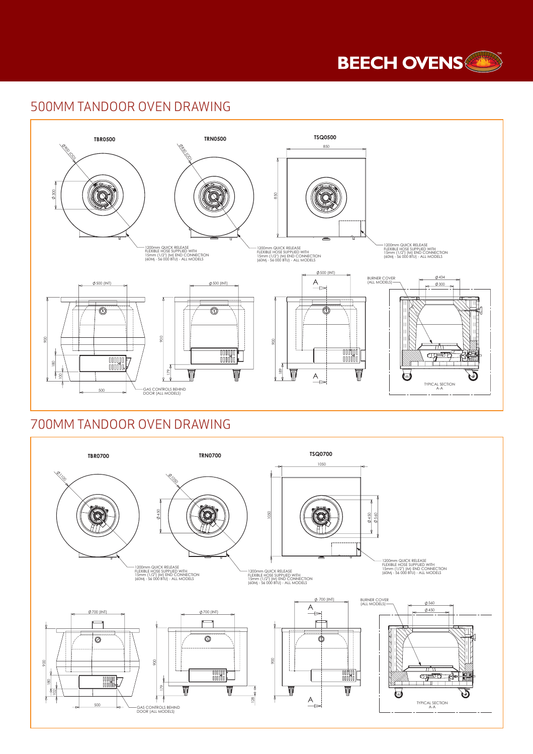

#### 500MM TANDOOR OVEN DRAWING



#### 700MM TANDOOR OVEN DRAWING